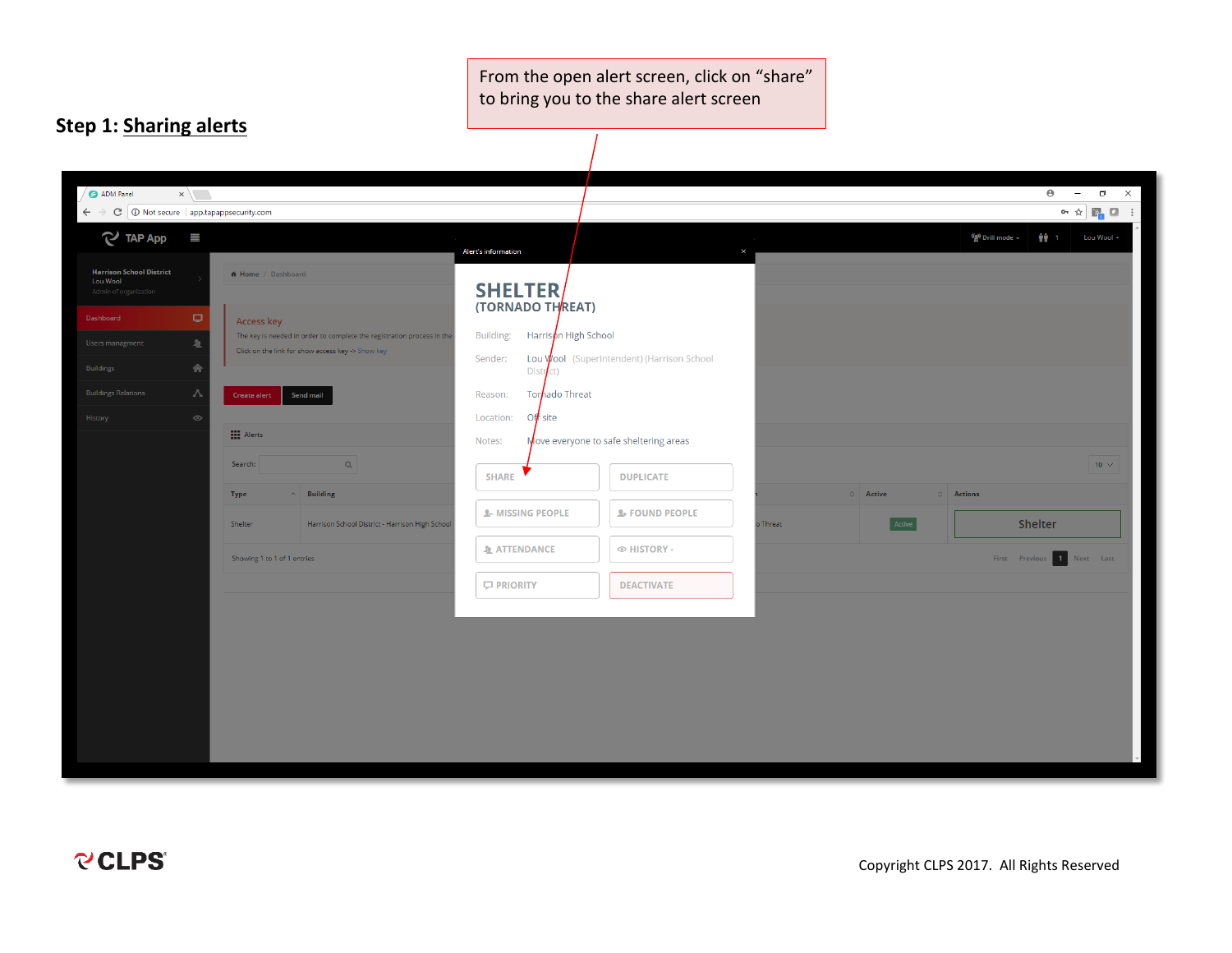From the open alert screen, click on "share" to bring you to the share alert screen

## **Step 1: Sharing alerts**

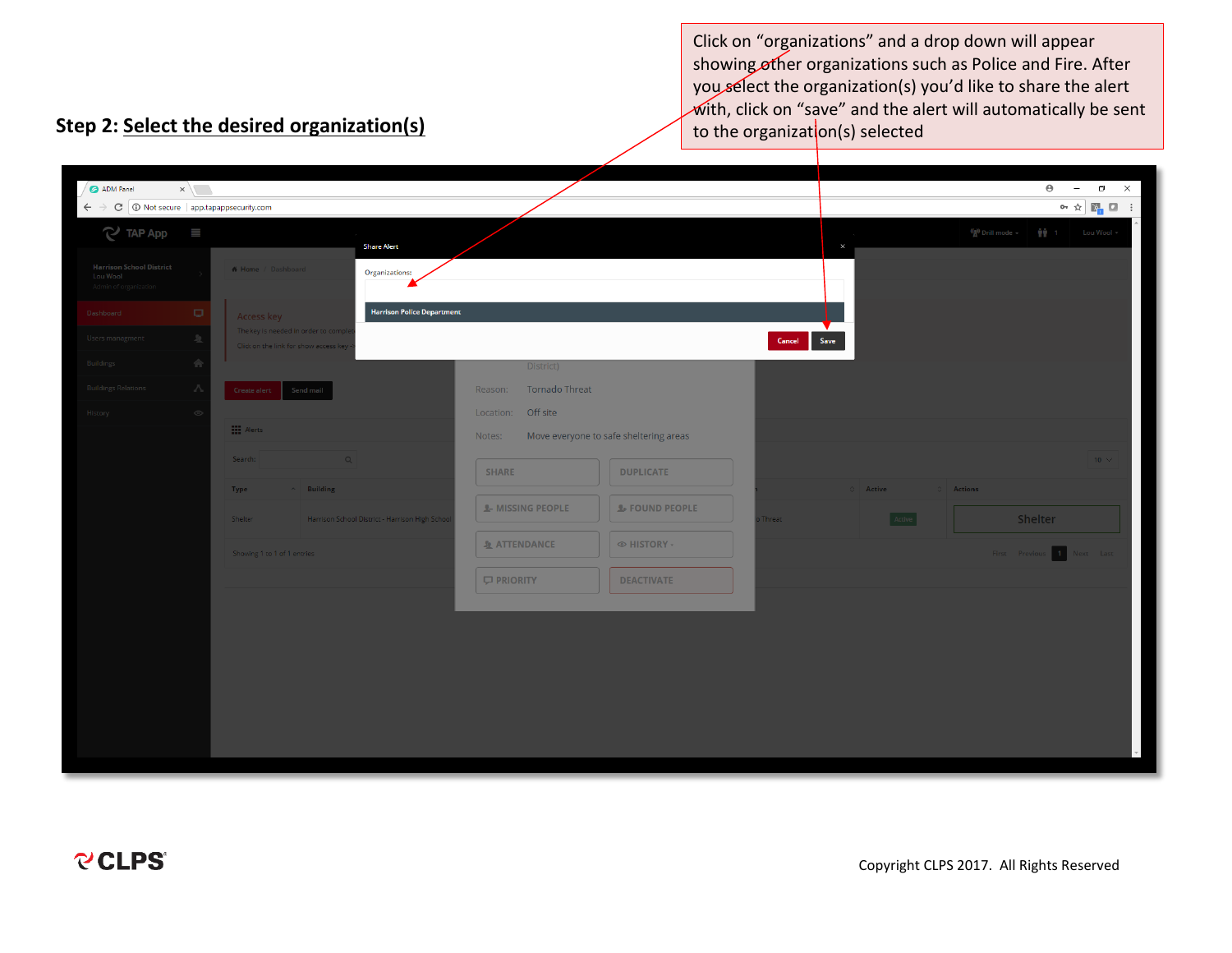Click on "organizations" and a drop down will appear showing other organizations such as Police and Fire. After you select the organization(s) you'd like to share the alert  $\sqrt{w}$ ith, click on "save" and the alert will automatically be sent to the organization(s) selected

# **Step 2: Select the desired organization(s)**

| $\epsilon \rightarrow c$ O Not secure   app.tapappsecurity.com<br>$\mathbf{o}_1 \triangleq \begin{bmatrix} \mathbf{e}_1 & \mathbf{e}_2 & \mathbf{e}_3 \\ \mathbf{e}_1 & \mathbf{e}_2 & \mathbf{e}_3 \\ \mathbf{e}_2 & \mathbf{e}_3 & \mathbf{e}_4 \end{bmatrix}$<br>$\mathbb{C}$ TAP App $\equiv$<br>$\frac{(\phi)}{A}$ Drill mode $\ast$ $\frac{1}{\phi}$ $\frac{1}{\phi}$ 1 Lou Wool $\ast$<br><b>Share Alert</b><br>$\times$<br><b>Harrison School District</b><br><b>A</b> Home / Dashboard<br>Organizations:<br>Lou Wool<br>Admin of organization<br><b>Harrison Police Department</b><br>Dashboard<br>$\Box$<br>Access key<br><b>Contract Contract</b><br>The key is needed in order to comp<br>Users managment<br>Save<br>业<br>Cancel<br>Click on the link for show access key<br>Buildings<br>m<br>District)<br><b>Buildings Relations</b><br>Tornado Threat<br>- 75<br>Reason:<br>Send mail<br>Create alert<br>Location: Off site<br>History<br>$\circ$<br>$\prod$ Alerts<br>Move everyone to safe sheltering areas<br>Notes:<br>Search:<br>$10 \times$<br>$\alpha$<br><b>SHARE</b><br><b>DUPLICATE</b><br>$\sim$ Building<br>$\circ$ Active Active<br>Type<br><b>C</b> Actions<br><b>L-MISSING PEOPLE</b><br><b>L</b> FOUND PEOPLE<br>Active<br>Shelter<br>Shelter<br>Harrison School District - Harrison High Schoo<br>Threat<br><b>ATTENDANCE</b><br>◎ HISTORY -<br>Showing 1 to 1 of 1 entries<br>First Previous 1<br>Next Last<br><b>D</b> PRIORITY<br><b>DEACTIVATE</b> | ADM Panel | $x \sqrt{ }$ |  |  |  | $\Theta$ | $\times$<br>$\Box$<br>$\overline{\phantom{a}}$ |  |
|----------------------------------------------------------------------------------------------------------------------------------------------------------------------------------------------------------------------------------------------------------------------------------------------------------------------------------------------------------------------------------------------------------------------------------------------------------------------------------------------------------------------------------------------------------------------------------------------------------------------------------------------------------------------------------------------------------------------------------------------------------------------------------------------------------------------------------------------------------------------------------------------------------------------------------------------------------------------------------------------------------------------------------------------------------------------------------------------------------------------------------------------------------------------------------------------------------------------------------------------------------------------------------------------------------------------------------------------------------------------------------------------------------------------------------------------------------------------------------------|-----------|--------------|--|--|--|----------|------------------------------------------------|--|
|                                                                                                                                                                                                                                                                                                                                                                                                                                                                                                                                                                                                                                                                                                                                                                                                                                                                                                                                                                                                                                                                                                                                                                                                                                                                                                                                                                                                                                                                                        |           |              |  |  |  |          |                                                |  |
|                                                                                                                                                                                                                                                                                                                                                                                                                                                                                                                                                                                                                                                                                                                                                                                                                                                                                                                                                                                                                                                                                                                                                                                                                                                                                                                                                                                                                                                                                        |           |              |  |  |  |          |                                                |  |
|                                                                                                                                                                                                                                                                                                                                                                                                                                                                                                                                                                                                                                                                                                                                                                                                                                                                                                                                                                                                                                                                                                                                                                                                                                                                                                                                                                                                                                                                                        |           |              |  |  |  |          |                                                |  |
|                                                                                                                                                                                                                                                                                                                                                                                                                                                                                                                                                                                                                                                                                                                                                                                                                                                                                                                                                                                                                                                                                                                                                                                                                                                                                                                                                                                                                                                                                        |           |              |  |  |  |          |                                                |  |
|                                                                                                                                                                                                                                                                                                                                                                                                                                                                                                                                                                                                                                                                                                                                                                                                                                                                                                                                                                                                                                                                                                                                                                                                                                                                                                                                                                                                                                                                                        |           |              |  |  |  |          |                                                |  |
|                                                                                                                                                                                                                                                                                                                                                                                                                                                                                                                                                                                                                                                                                                                                                                                                                                                                                                                                                                                                                                                                                                                                                                                                                                                                                                                                                                                                                                                                                        |           |              |  |  |  |          |                                                |  |
|                                                                                                                                                                                                                                                                                                                                                                                                                                                                                                                                                                                                                                                                                                                                                                                                                                                                                                                                                                                                                                                                                                                                                                                                                                                                                                                                                                                                                                                                                        |           |              |  |  |  |          |                                                |  |
|                                                                                                                                                                                                                                                                                                                                                                                                                                                                                                                                                                                                                                                                                                                                                                                                                                                                                                                                                                                                                                                                                                                                                                                                                                                                                                                                                                                                                                                                                        |           |              |  |  |  |          |                                                |  |
|                                                                                                                                                                                                                                                                                                                                                                                                                                                                                                                                                                                                                                                                                                                                                                                                                                                                                                                                                                                                                                                                                                                                                                                                                                                                                                                                                                                                                                                                                        |           |              |  |  |  |          |                                                |  |
|                                                                                                                                                                                                                                                                                                                                                                                                                                                                                                                                                                                                                                                                                                                                                                                                                                                                                                                                                                                                                                                                                                                                                                                                                                                                                                                                                                                                                                                                                        |           |              |  |  |  |          |                                                |  |
|                                                                                                                                                                                                                                                                                                                                                                                                                                                                                                                                                                                                                                                                                                                                                                                                                                                                                                                                                                                                                                                                                                                                                                                                                                                                                                                                                                                                                                                                                        |           |              |  |  |  |          |                                                |  |
|                                                                                                                                                                                                                                                                                                                                                                                                                                                                                                                                                                                                                                                                                                                                                                                                                                                                                                                                                                                                                                                                                                                                                                                                                                                                                                                                                                                                                                                                                        |           |              |  |  |  |          |                                                |  |
|                                                                                                                                                                                                                                                                                                                                                                                                                                                                                                                                                                                                                                                                                                                                                                                                                                                                                                                                                                                                                                                                                                                                                                                                                                                                                                                                                                                                                                                                                        |           |              |  |  |  |          |                                                |  |
|                                                                                                                                                                                                                                                                                                                                                                                                                                                                                                                                                                                                                                                                                                                                                                                                                                                                                                                                                                                                                                                                                                                                                                                                                                                                                                                                                                                                                                                                                        |           |              |  |  |  |          |                                                |  |
|                                                                                                                                                                                                                                                                                                                                                                                                                                                                                                                                                                                                                                                                                                                                                                                                                                                                                                                                                                                                                                                                                                                                                                                                                                                                                                                                                                                                                                                                                        |           |              |  |  |  |          |                                                |  |
|                                                                                                                                                                                                                                                                                                                                                                                                                                                                                                                                                                                                                                                                                                                                                                                                                                                                                                                                                                                                                                                                                                                                                                                                                                                                                                                                                                                                                                                                                        |           |              |  |  |  |          |                                                |  |
|                                                                                                                                                                                                                                                                                                                                                                                                                                                                                                                                                                                                                                                                                                                                                                                                                                                                                                                                                                                                                                                                                                                                                                                                                                                                                                                                                                                                                                                                                        |           |              |  |  |  |          |                                                |  |
|                                                                                                                                                                                                                                                                                                                                                                                                                                                                                                                                                                                                                                                                                                                                                                                                                                                                                                                                                                                                                                                                                                                                                                                                                                                                                                                                                                                                                                                                                        |           |              |  |  |  |          |                                                |  |
|                                                                                                                                                                                                                                                                                                                                                                                                                                                                                                                                                                                                                                                                                                                                                                                                                                                                                                                                                                                                                                                                                                                                                                                                                                                                                                                                                                                                                                                                                        |           |              |  |  |  |          |                                                |  |
|                                                                                                                                                                                                                                                                                                                                                                                                                                                                                                                                                                                                                                                                                                                                                                                                                                                                                                                                                                                                                                                                                                                                                                                                                                                                                                                                                                                                                                                                                        |           |              |  |  |  |          |                                                |  |
|                                                                                                                                                                                                                                                                                                                                                                                                                                                                                                                                                                                                                                                                                                                                                                                                                                                                                                                                                                                                                                                                                                                                                                                                                                                                                                                                                                                                                                                                                        |           |              |  |  |  |          |                                                |  |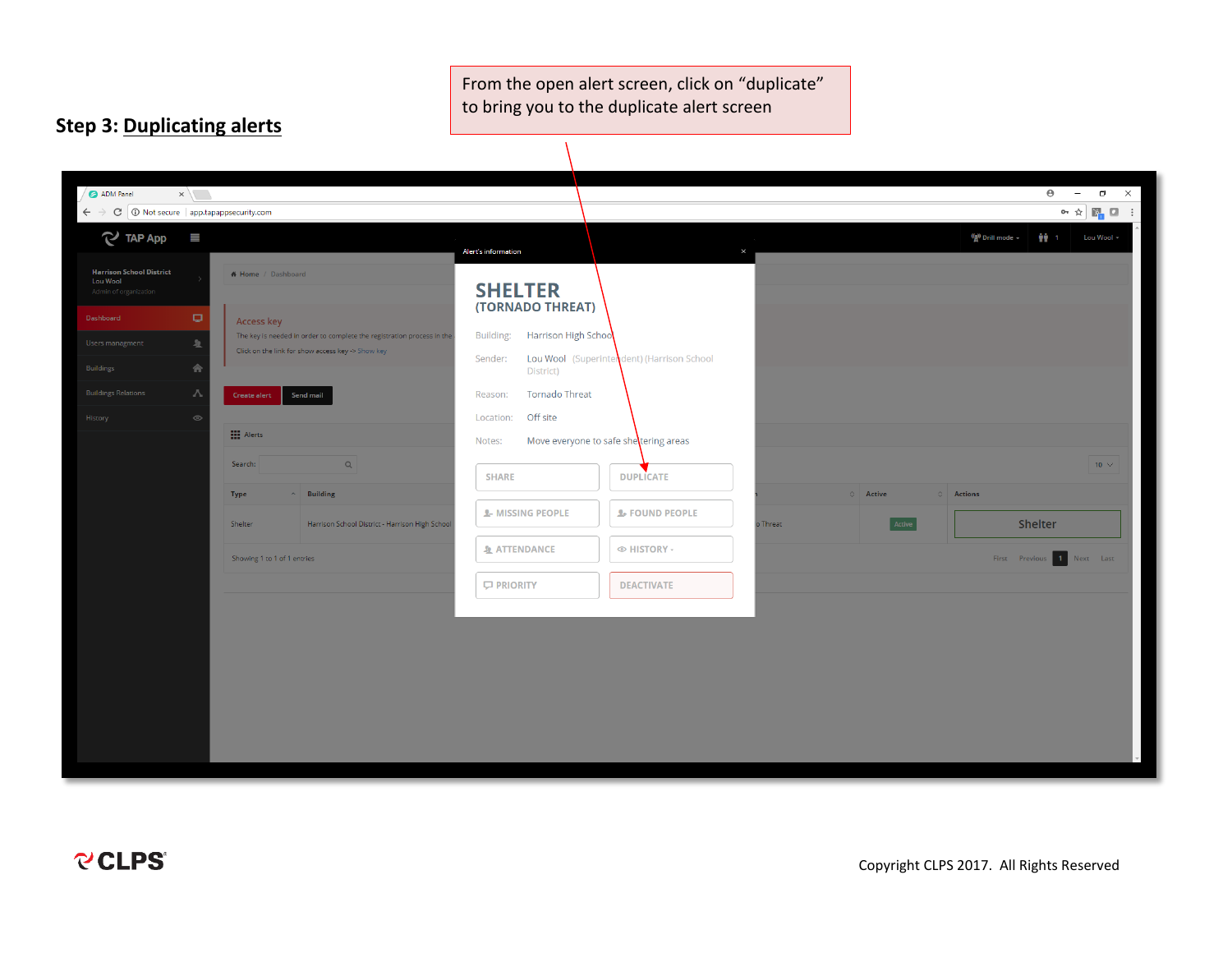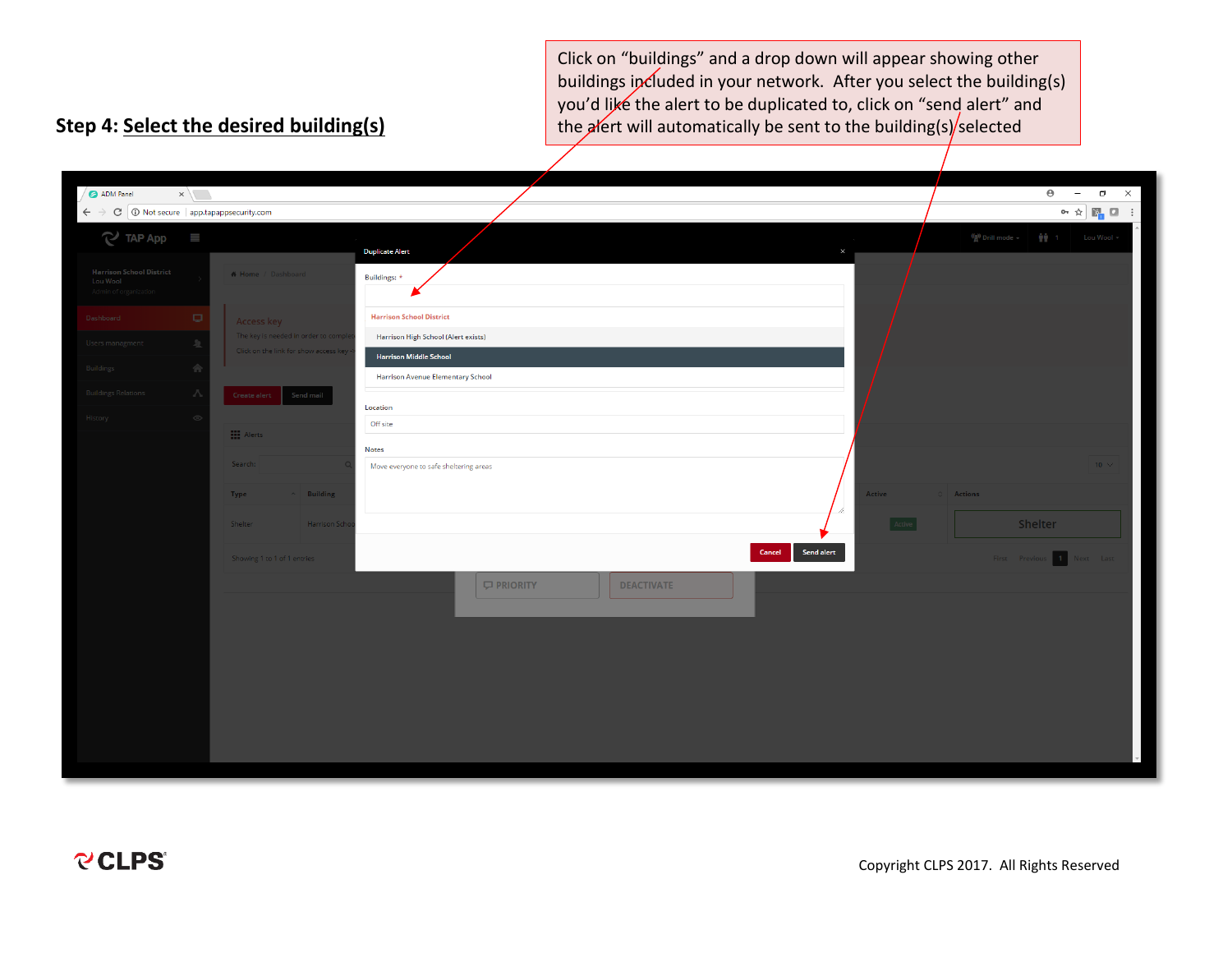Click on "buildings" and a drop down will appear showing other buildings included in your network. After you select the building(s) you'd like the alert to be duplicated to, click on "send alert" and the alert will automatically be sent to the building(s) selected

## **Step 4: Select the desired building(s)**

| ADM Panel                                                            | $\times$ $\sqrt{ }$ |                                                                               |                                                                           | $\Theta$<br>$\times$<br>$\Box$<br>$\overline{\phantom{a}}$                                                                                                                                                                                                                                                                                                                                                                                       |
|----------------------------------------------------------------------|---------------------|-------------------------------------------------------------------------------|---------------------------------------------------------------------------|--------------------------------------------------------------------------------------------------------------------------------------------------------------------------------------------------------------------------------------------------------------------------------------------------------------------------------------------------------------------------------------------------------------------------------------------------|
| $\epsilon \rightarrow c$ O Not secure   app.tapappsecurity.com       |                     |                                                                               |                                                                           | $\mathbf{O} \cap \mathbf{O}^{\mathbf{I}}_{\mathbf{E}} \otimes \mathbf{O}^{\mathbf{I}}_{\mathbf{E}} \otimes \mathbf{O}^{\mathbf{I}}_{\mathbf{E}} \otimes \mathbf{O}^{\mathbf{I}}_{\mathbf{E}} \otimes \mathbf{O}^{\mathbf{I}}_{\mathbf{E}} \otimes \mathbf{O}^{\mathbf{I}}_{\mathbf{E}} \otimes \mathbf{O}^{\mathbf{I}}_{\mathbf{E}} \otimes \mathbf{O}^{\mathbf{I}}_{\mathbf{E}} \otimes \mathbf{O}^{\mathbf{I}}_{\mathbf{E}} \otimes \mathbf{O$ |
| $\sim$ TAP App                                                       | $\equiv$            |                                                                               | <b>Duplicate Alert</b>                                                    | $\binom{(\alpha)}{4}$ Drill mode $\sim$<br>₩ 1 Lou Wool -                                                                                                                                                                                                                                                                                                                                                                                        |
| <b>Harrison School District</b><br>Lou Wool<br>Admin of organization |                     | # Home / Dashboard                                                            | Buildings: *                                                              |                                                                                                                                                                                                                                                                                                                                                                                                                                                  |
| Dashboard                                                            | Q.                  | Access key                                                                    | <b>Harrison School District</b>                                           |                                                                                                                                                                                                                                                                                                                                                                                                                                                  |
| Users managment                                                      | 页                   | The key is needed in order to comple<br>Click on the link for show access key | Harrison High School (Alert exists)                                       |                                                                                                                                                                                                                                                                                                                                                                                                                                                  |
| Buildings                                                            | 合                   |                                                                               | <b>Harrison Middle School</b><br><b>Harrison Avenue Elementary School</b> |                                                                                                                                                                                                                                                                                                                                                                                                                                                  |
| <b>Buildings Relations</b>                                           | - 75                | Send mail<br>Create alert                                                     | Location                                                                  |                                                                                                                                                                                                                                                                                                                                                                                                                                                  |
| History                                                              | $\circ$             | <b>H</b> Alerts                                                               | Off site                                                                  |                                                                                                                                                                                                                                                                                                                                                                                                                                                  |
|                                                                      |                     |                                                                               | <b>Notes</b>                                                              |                                                                                                                                                                                                                                                                                                                                                                                                                                                  |
|                                                                      |                     | Search:                                                                       | Move everyone to safe sheltering areas                                    | $-10 \sim$                                                                                                                                                                                                                                                                                                                                                                                                                                       |
|                                                                      |                     | $\sim$ Building<br>Type                                                       | Active                                                                    | Actions                                                                                                                                                                                                                                                                                                                                                                                                                                          |
|                                                                      |                     | Shelter<br>Harrison Sch                                                       | Active                                                                    | Shelter                                                                                                                                                                                                                                                                                                                                                                                                                                          |
|                                                                      |                     | Showing 1 to 1 of 1 entries                                                   | Send alert<br>Cancel                                                      | Next Last<br>First Previous 1                                                                                                                                                                                                                                                                                                                                                                                                                    |
|                                                                      |                     |                                                                               | <b>C</b> PRIORITY<br><b>DEACTIVATE</b>                                    |                                                                                                                                                                                                                                                                                                                                                                                                                                                  |
|                                                                      |                     |                                                                               |                                                                           |                                                                                                                                                                                                                                                                                                                                                                                                                                                  |
|                                                                      |                     |                                                                               |                                                                           |                                                                                                                                                                                                                                                                                                                                                                                                                                                  |
|                                                                      |                     |                                                                               |                                                                           |                                                                                                                                                                                                                                                                                                                                                                                                                                                  |
|                                                                      |                     |                                                                               |                                                                           |                                                                                                                                                                                                                                                                                                                                                                                                                                                  |
|                                                                      |                     |                                                                               |                                                                           |                                                                                                                                                                                                                                                                                                                                                                                                                                                  |
|                                                                      |                     |                                                                               |                                                                           |                                                                                                                                                                                                                                                                                                                                                                                                                                                  |
|                                                                      |                     |                                                                               |                                                                           |                                                                                                                                                                                                                                                                                                                                                                                                                                                  |

j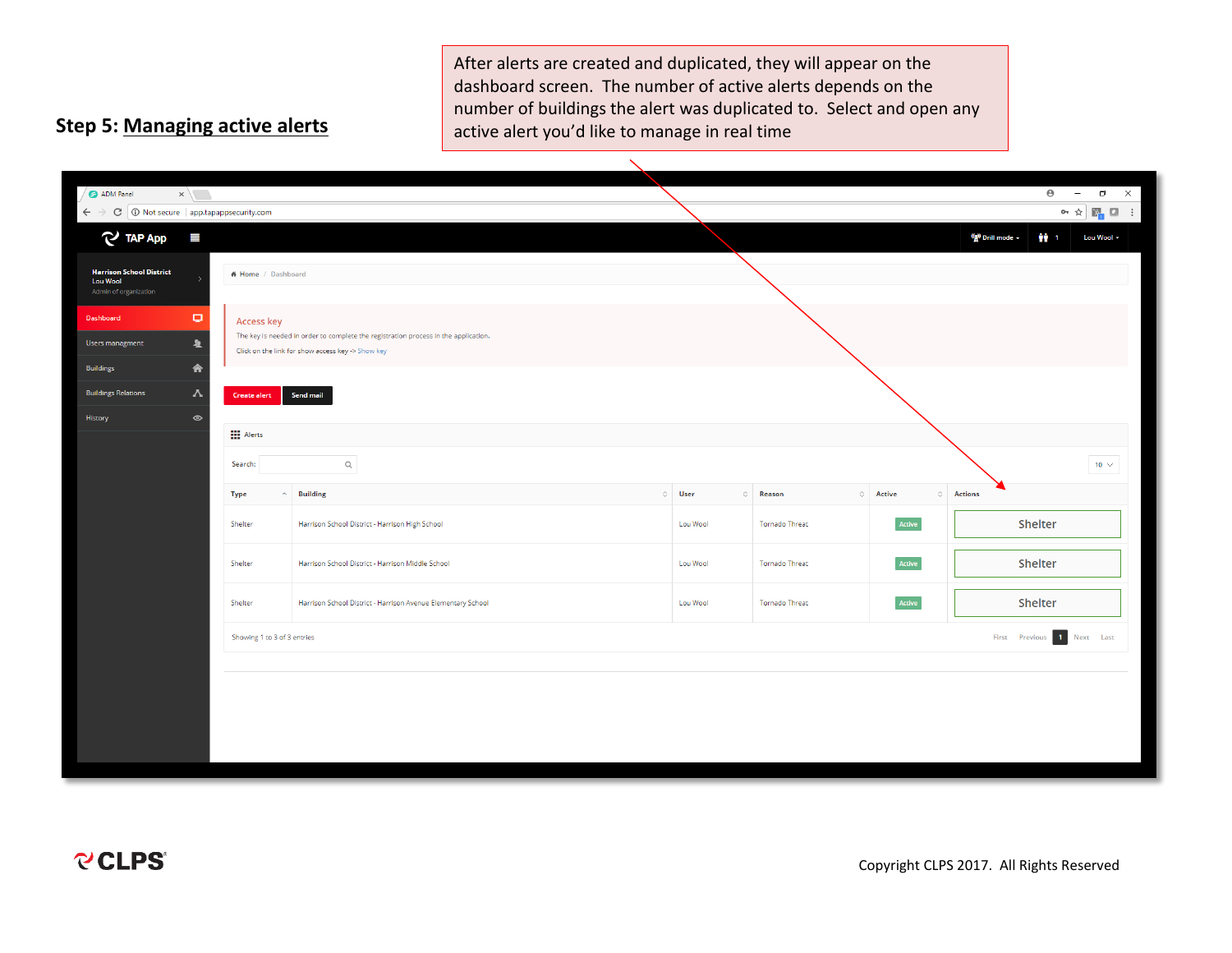After alerts are created and duplicated, they will appear on the dashboard screen. The number of active alerts depends on the number of buildings the alert was duplicated to. Select and open any active alert you'd like to manage in real time

## **Step 5: Managing active alerts**

| ADM Panel                                                                                                 | $\times$ $\sqrt{ }$     |                                   |                                                                                                                                          |              |                       |                | $\Theta$<br>$\Box$ $\quad$ $\times$<br>$\hspace{0.1mm}$                                                                                                                                                                                                                       |  |  |
|-----------------------------------------------------------------------------------------------------------|-------------------------|-----------------------------------|------------------------------------------------------------------------------------------------------------------------------------------|--------------|-----------------------|----------------|-------------------------------------------------------------------------------------------------------------------------------------------------------------------------------------------------------------------------------------------------------------------------------|--|--|
| $\leftarrow$ $\rightarrow$ $\left  \mathbb{C} \right $ $\circledcirc$ Not secure   app.tapappsecurity.com |                         |                                   |                                                                                                                                          |              |                       |                | $\mathbf{O} \cap \mathbf{O}^{\mathbf{I}}_{\mathbf{C}} \quad \mathbf{E}^{\mathbf{R}}_{\mathbf{C}} \quad \mathbf{E}^{\mathbf{R}}_{\mathbf{C}} \quad \mathbf{E}^{\mathbf{R}}_{\mathbf{C}} \quad \mathbf{E}^{\mathbf{R}}_{\mathbf{C}} \quad \mathbf{E}^{\mathbf{R}}_{\mathbf{C}}$ |  |  |
| $\mathbb{C}$ TAP App                                                                                      | $\equiv$                |                                   |                                                                                                                                          |              |                       |                | (a) Drill mode -<br>静。<br>Lou Wool -                                                                                                                                                                                                                                          |  |  |
| <b>Harrison School District</b><br><b>Lou Wool</b>                                                        |                         | # Home / Dashboard                |                                                                                                                                          |              |                       |                |                                                                                                                                                                                                                                                                               |  |  |
| Admin of organization                                                                                     |                         |                                   |                                                                                                                                          |              |                       |                |                                                                                                                                                                                                                                                                               |  |  |
| Dashboard                                                                                                 | $\Box$                  | <b>Access key</b>                 |                                                                                                                                          |              |                       |                |                                                                                                                                                                                                                                                                               |  |  |
| Users managment                                                                                           | $\overline{\mathbf{A}}$ |                                   | The key is needed in order to complete the registration process in the application.<br>Click on the link for show access key -> Show key |              |                       |                |                                                                                                                                                                                                                                                                               |  |  |
| <b>Buildings</b>                                                                                          | 合                       |                                   |                                                                                                                                          |              |                       |                |                                                                                                                                                                                                                                                                               |  |  |
| <b>Buildings Relations</b>                                                                                | V                       | <b>Create alert</b>               | Send mail                                                                                                                                |              |                       |                |                                                                                                                                                                                                                                                                               |  |  |
| History                                                                                                   | $\circledcirc$          |                                   |                                                                                                                                          |              |                       |                |                                                                                                                                                                                                                                                                               |  |  |
|                                                                                                           |                         | <b>HI</b> Alerts                  |                                                                                                                                          |              |                       |                |                                                                                                                                                                                                                                                                               |  |  |
|                                                                                                           |                         | Search:                           | $\alpha$                                                                                                                                 |              |                       |                | 10 $\vee$                                                                                                                                                                                                                                                                     |  |  |
|                                                                                                           |                         | <b>Type</b><br>$\curvearrowright$ | <b>Building</b>                                                                                                                          | $\circ$ User | $\circ$ Reason        | $\circ$ Active | $\circ$ Actions                                                                                                                                                                                                                                                               |  |  |
|                                                                                                           |                         | Shelter                           | Harrison School District - Harrison High School                                                                                          | Lou Wool     | Tornado Threat        | Active         | Shelter                                                                                                                                                                                                                                                                       |  |  |
|                                                                                                           |                         | Shelter                           | Harrison School District - Harrison Middle School                                                                                        | Lou Wool     | <b>Tornado Threat</b> | Active         | Shelter                                                                                                                                                                                                                                                                       |  |  |
|                                                                                                           |                         | Shelter                           | Harrison School District - Harrison Avenue Elementary School                                                                             | Lou Wool     | <b>Tornado Threat</b> | Active         | Shelter                                                                                                                                                                                                                                                                       |  |  |
|                                                                                                           |                         | Showing 1 to 3 of 3 entries       |                                                                                                                                          |              |                       |                | First Previous 1 Next Last                                                                                                                                                                                                                                                    |  |  |
|                                                                                                           |                         |                                   |                                                                                                                                          |              |                       |                |                                                                                                                                                                                                                                                                               |  |  |
|                                                                                                           |                         |                                   |                                                                                                                                          |              |                       |                |                                                                                                                                                                                                                                                                               |  |  |
|                                                                                                           |                         |                                   |                                                                                                                                          |              |                       |                |                                                                                                                                                                                                                                                                               |  |  |
|                                                                                                           |                         |                                   |                                                                                                                                          |              |                       |                |                                                                                                                                                                                                                                                                               |  |  |
|                                                                                                           |                         |                                   |                                                                                                                                          |              |                       |                |                                                                                                                                                                                                                                                                               |  |  |
|                                                                                                           |                         |                                   |                                                                                                                                          |              |                       |                |                                                                                                                                                                                                                                                                               |  |  |